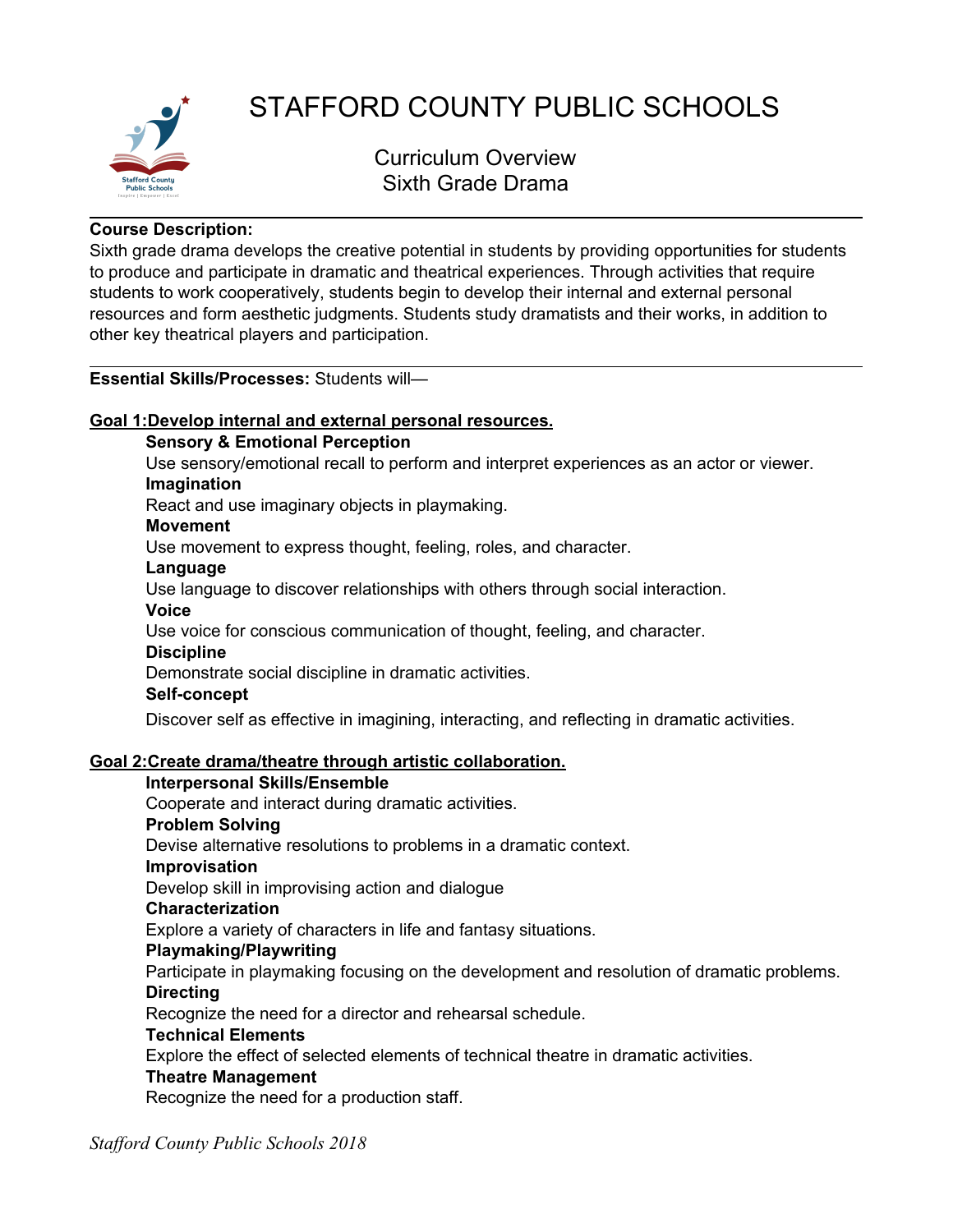

# STAFFORD COUNTY PUBLIC SCHOOLS

Curriculum Overview Sixth Grade Drama

## **Course Description:**

Sixth grade drama develops the creative potential in students by providing opportunities for students to produce and participate in dramatic and theatrical experiences. Through activities that require students to work cooperatively, students begin to develop their internal and external personal resources and form aesthetic judgments. Students study dramatists and their works, in addition to other key theatrical players and participation.

# **Essential Skills/Processes:** Students will—

# **Goal 1:Develop internal and external personal resources.**

# **Sensory & Emotional Perception**

Use sensory/emotional recall to perform and interpret experiences as an actor or viewer. **Imagination**

React and use imaginary objects in playmaking.

# **Movement**

Use movement to express thought, feeling, roles, and character.

#### **Language**

Use language to discover relationships with others through social interaction.

# **Voice**

Use voice for conscious communication of thought, feeling, and character.

#### **Discipline**

Demonstrate social discipline in dramatic activities.

#### **Self-concept**

Discover self as effective in imagining, interacting, and reflecting in dramatic activities.

# **Goal 2:Create drama/theatre through artistic collaboration.**

#### **Interpersonal Skills/Ensemble**

Cooperate and interact during dramatic activities.

#### **Problem Solving**

Devise alternative resolutions to problems in a dramatic context.

#### **Improvisation**

Develop skill in improvising action and dialogue

#### **Characterization**

Explore a variety of characters in life and fantasy situations.

# **Playmaking/Playwriting**

Participate in playmaking focusing on the development and resolution of dramatic problems. **Directing**

Recognize the need for a director and rehearsal schedule.

#### **Technical Elements**

Explore the effect of selected elements of technical theatre in dramatic activities.

#### **Theatre Management**

Recognize the need for a production staff.